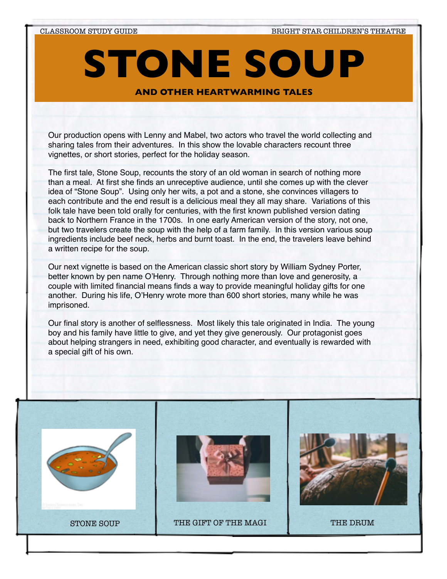# **STONE SOUP**

**About the Show AND OTHER HEARTWARMING TALES**

Our production opens with Lenny and Mabel, two actors who travel the world collecting and sharing tales from their adventures. In this show the lovable characters recount three vignettes, or short stories, perfect for the holiday season.

The first tale, Stone Soup, recounts the story of an old woman in search of nothing more than a meal. At first she finds an unreceptive audience, until she comes up with the clever idea of "Stone Soup". Using only her wits, a pot and a stone, she convinces villagers to each contribute and the end result is a delicious meal they all may share. Variations of this folk tale have been told orally for centuries, with the first known published version dating back to Northern France in the 1700s. In one early American version of the story, not one, but two travelers create the soup with the help of a farm family. In this version various soup ingredients include beef neck, herbs and burnt toast. In the end, the travelers leave behind a written recipe for the soup.

Our next vignette is based on the American classic short story by William Sydney Porter, better known by pen name O'Henry. Through nothing more than love and generosity, a couple with limited financial means finds a way to provide meaningful holiday gifts for one another. During his life, O'Henry wrote more than 600 short stories, many while he was imprisoned.

Our final story is another of selflessness. Most likely this tale originated in India. The young boy and his family have little to give, and yet they give generously. Our protagonist goes about helping strangers in need, exhibiting good character, and eventually is rewarded with a special gift of his own.

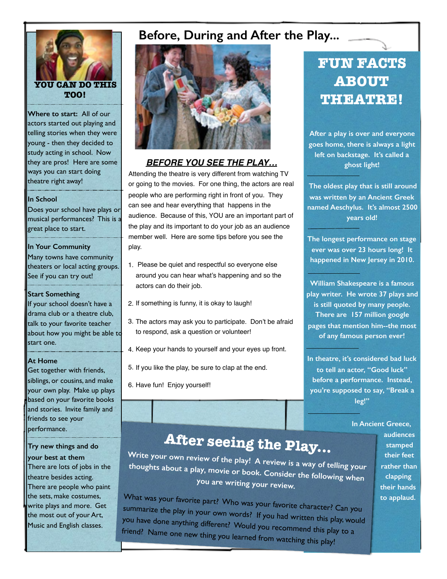

**Where to start:** All of our actors started out playing and telling stories when they were young - then they decided to study acting in school. Now they are pros! Here are some ways you can start doing theatre right away!

#### **In School**

Does your school have plays or musical performances? This is a great place to start.

#### **In Your Community**

Many towns have community theaters or local acting groups. See if you can try out!

#### **Start Something**

If your school doesn't have a drama club or a theatre club, talk to your favorite teacher about how you might be able to start one.

#### **At Home**

Get together with friends, siblings, or cousins, and make your own play. Make up plays based on your favorite books and stories. Invite family and friends to see your performance.

**Try new things and do your best at them**  There are lots of jobs in the theatre besides acting. There are people who paint the sets, make costumes, write plays and more. Get the most out of your Art, Music and English classes.

### **Before, During and After the Play...**



#### *BEFORE YOU SEE THE PLAY…*

Attending the theatre is very different from watching TV or going to the movies. For one thing, the actors are real people who are performing right in front of you. They can see and hear everything that happens in the audience. Because of this, YOU are an important part of the play and its important to do your job as an audience member well. Here are some tips before you see the play.

- 1. Please be quiet and respectful so everyone else around you can hear what's happening and so the actors can do their job.
- 2. If something is funny, it is okay to laugh!
- 3. The actors may ask you to participate. Don't be afraid to respond, ask a question or volunteer!
- 4. Keep your hands to yourself and your eyes up front.
- 5. If you like the play, be sure to clap at the end.
- 6. Have fun! Enjoy yourself!

## **FUN FACTS ABOUT THEATRE!**

**After a play is over and everyone goes home, there is always a light left on backstage. It's called a ghost light!**

 **The oldest play that is still around was written by an Ancient Greek named Aeschylus. It's almost 2500 years old!** 

**The longest performance on stage ever was over 23 hours long! It happened in New Jersey in 2010.** 

**William Shakespeare is a famous play writer. He wrote 37 plays and is still quoted by many people. There are 157 million google pages that mention him--the most of any famous person ever!** 

**In theatre, it's considered bad luck to tell an actor, "Good luck" before a performance. Instead, you're supposed to say, "Break a leg!"**

#### **In Ancient Greece,**

# **After seeing the Play...**

**Write your own review of the play! A review is a way of telling your thoughts about a play, movie or book. Consider the following when you are writing your review.** 

What was your favorite part? Who was your favorite character? Can you summarize the play in your own words? If you had written this play, would you have done anything different? Would you recommend this play to a friend? Name one new thing you learned from watching this play!

**audiences stamped their feet rather than clapping their hands to applaud.**